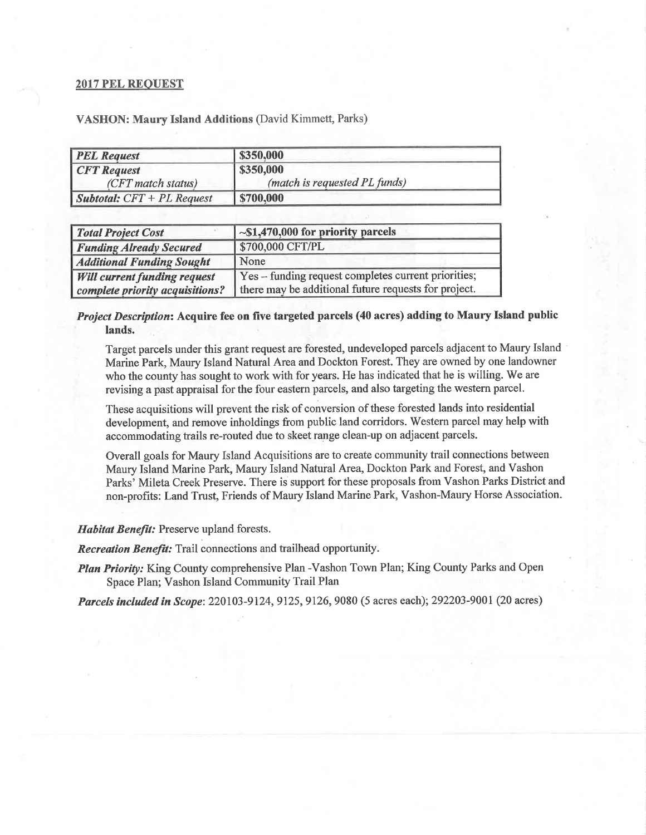## **2017 PEL REQUEST**

| <b>PEL Request</b>                  | \$350,000                     |  |
|-------------------------------------|-------------------------------|--|
| <b>CFT</b> Request                  | \$350,000                     |  |
| (CFT match status)                  | (match is requested PL funds) |  |
| <i>Subtotal:</i> $CFT + PL$ Request | \$700,000                     |  |

**VASHON: Maury Island Additions (David Kimmett, Parks)** 

| <b>Total Project Cost</b>           | $\sim $1,470,000$ for priority parcels                 |
|-------------------------------------|--------------------------------------------------------|
| <b>Funding Already Secured</b>      | \$700,000 CFT/PL                                       |
| <b>Additional Funding Sought</b>    | None                                                   |
| <b>Will current funding request</b> | Yes - funding request completes current priorities;    |
| complete priority acquisitions?     | I there may be additional future requests for project. |

## Project Description: Acquire fee on five targeted parcels (40 acres) adding to Maury Island public lands.

Target parcels under this grant request are forested, undeveloped parcels adjacent to Maury Island Marine Park, Maury Island Natural Area and Dockton Forest. They are owned by one landowner who the county has sought to work with for years. He has indicated that he is willing. We are revising a past appraisal for the four eastern parcels, and also targeting the western parcel.

These acquisitions will prevent the risk of conversion of these forested lands into residential development, and remove inholdings from public land corridors. Western parcel may help with accommodating trails re-routed due to skeet range clean-up on adjacent parcels.

Overall goals for Maury Island Acquisitions are to create community trail connections between Maury Island Marine Park, Maury Island Natural Area, Dockton Park and Forest, and Vashon Parks' Mileta Creek Preserve. There is support for these proposals from Vashon Parks District and non-profits: Land Trust, Friends of Maury Island Marine Park, Vashon-Maury Horse Association.

## **Habitat Benefit:** Preserve upland forests.

**Recreation Benefit:** Trail connections and trailhead opportunity.

Plan Priority: King County comprehensive Plan -Vashon Town Plan; King County Parks and Open Space Plan; Vashon Island Community Trail Plan

Parcels included in Scope: 220103-9124, 9125, 9126, 9080 (5 acres each); 292203-9001 (20 acres)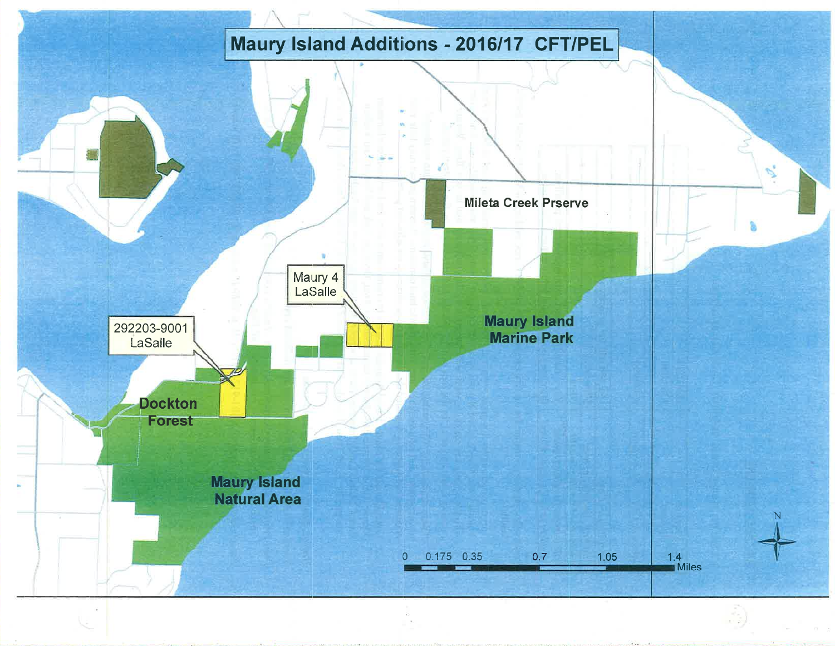